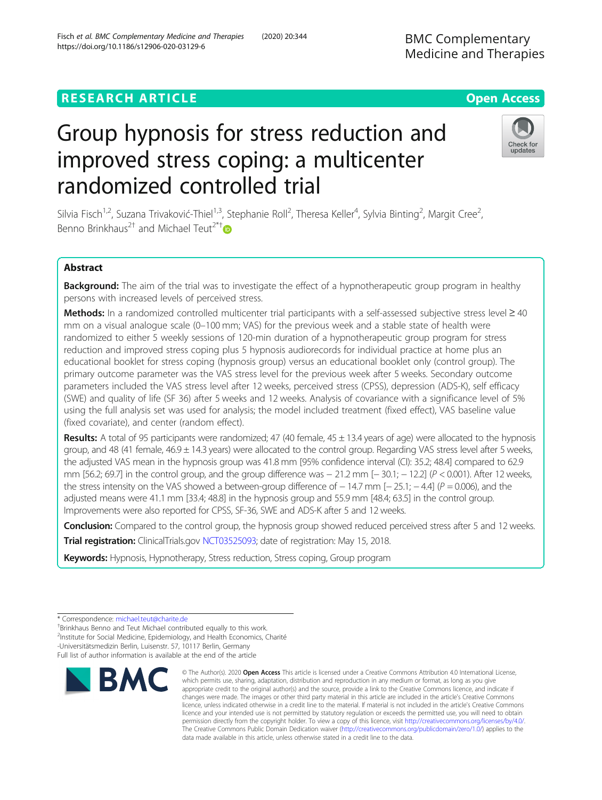# **RESEARCH ARTICLE Example 2014 12:30 The Contract of Contract ACCESS**

# Group hypnosis for stress reduction and improved stress coping: a multicenter randomized controlled trial

Silvia Fisch<sup>1,2</sup>, Suzana Trivaković-Thiel<sup>1,3</sup>, Stephanie Roll<sup>2</sup>, Theresa Keller<sup>4</sup>, Sylvia Binting<sup>2</sup>, Margit Cree<sup>2</sup> , Benno Brinkhaus<sup>2†</sup> and Michael Teut<sup>2\*†</sup>

## Abstract

Background: The aim of the trial was to investigate the effect of a hypnotherapeutic group program in healthy persons with increased levels of perceived stress.

Methods: In a randomized controlled multicenter trial participants with a self-assessed subjective stress level ≥ 40 mm on a visual analogue scale (0–100 mm; VAS) for the previous week and a stable state of health were randomized to either 5 weekly sessions of 120-min duration of a hypnotherapeutic group program for stress reduction and improved stress coping plus 5 hypnosis audiorecords for individual practice at home plus an educational booklet for stress coping (hypnosis group) versus an educational booklet only (control group). The primary outcome parameter was the VAS stress level for the previous week after 5 weeks. Secondary outcome parameters included the VAS stress level after 12 weeks, perceived stress (CPSS), depression (ADS-K), self efficacy (SWE) and quality of life (SF 36) after 5 weeks and 12 weeks. Analysis of covariance with a significance level of 5% using the full analysis set was used for analysis; the model included treatment (fixed effect), VAS baseline value (fixed covariate), and center (random effect).

**Results:** A total of 95 participants were randomized; 47 (40 female,  $45 \pm 13.4$  years of age) were allocated to the hypnosis group, and 48 (41 female, 46.9  $\pm$  14.3 years) were allocated to the control group. Regarding VAS stress level after 5 weeks, the adjusted VAS mean in the hypnosis group was 41.8 mm [95% confidence interval (CI): 35.2; 48.4] compared to 62.9 mm [56.2; 69.7] in the control group, and the group difference was − 21.2 mm [− 30.1; − 12.2] (P < 0.001). After 12 weeks, the stress intensity on the VAS showed a between-group difference of  $-14.7$  mm  $[-25.1; -4.4]$  ( $P = 0.006$ ), and the adjusted means were 41.1 mm [33.4; 48.8] in the hypnosis group and 55.9 mm [48.4; 63.5] in the control group. Improvements were also reported for CPSS, SF-36, SWE and ADS-K after 5 and 12 weeks.

**Conclusion:** Compared to the control group, the hypnosis group showed reduced perceived stress after 5 and 12 weeks.

Trial registration: ClinicalTrials.gov [NCT03525093](https://clinicaltrials.gov/ct2/show/NCT03525093); date of registration: May 15, 2018.

Keywords: Hypnosis, Hypnotherapy, Stress reduction, Stress coping, Group program

**RMC** 

<sup>+</sup>Brinkhaus Benno and Teut Michael contributed equally to this work.

<sup>2</sup>Institute for Social Medicine, Epidemiology, and Health Economics, Charité -Universitätsmedizin Berlin, Luisenstr. 57, 10117 Berlin, Germany

appropriate credit to the original author(s) and the source, provide a link to the Creative Commons licence, and indicate if changes were made. The images or other third party material in this article are included in the article's Creative Commons licence, unless indicated otherwise in a credit line to the material. If material is not included in the article's Creative Commons licence and your intended use is not permitted by statutory regulation or exceeds the permitted use, you will need to obtain permission directly from the copyright holder. To view a copy of this licence, visit [http://creativecommons.org/licenses/by/4.0/.](http://creativecommons.org/licenses/by/4.0/) The Creative Commons Public Domain Dedication waiver [\(http://creativecommons.org/publicdomain/zero/1.0/](http://creativecommons.org/publicdomain/zero/1.0/)) applies to the data made available in this article, unless otherwise stated in a credit line to the data.

© The Author(s), 2020 **Open Access** This article is licensed under a Creative Commons Attribution 4.0 International License, which permits use, sharing, adaptation, distribution and reproduction in any medium or format, as long as you give







<sup>\*</sup> Correspondence: [michael.teut@charite.de](mailto:michael.teut@charite.de) †

Full list of author information is available at the end of the article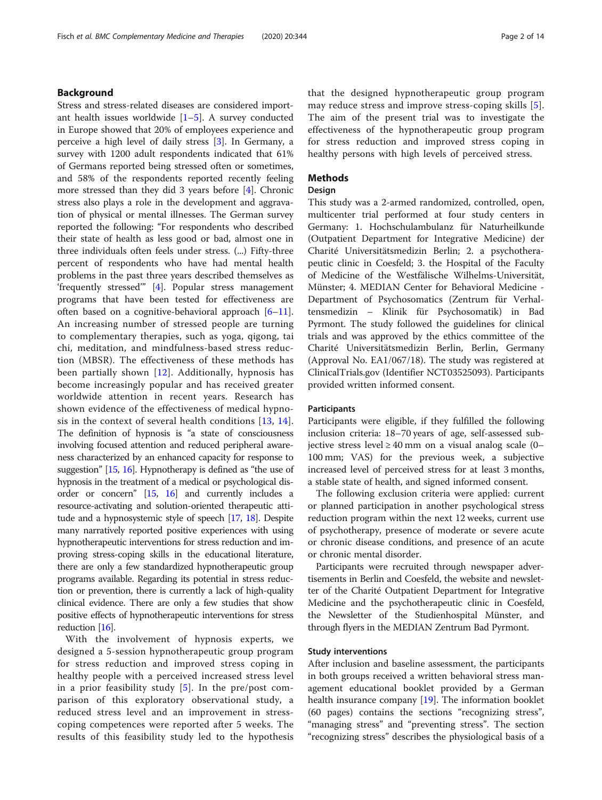## Background

Stress and stress-related diseases are considered important health issues worldwide  $[1-5]$  $[1-5]$  $[1-5]$ . A survey conducted in Europe showed that 20% of employees experience and perceive a high level of daily stress [\[3](#page-12-0)]. In Germany, a survey with 1200 adult respondents indicated that 61% of Germans reported being stressed often or sometimes, and 58% of the respondents reported recently feeling more stressed than they did 3 years before [\[4](#page-12-0)]. Chronic stress also plays a role in the development and aggravation of physical or mental illnesses. The German survey reported the following: "For respondents who described their state of health as less good or bad, almost one in three individuals often feels under stress. (...) Fifty-three percent of respondents who have had mental health problems in the past three years described themselves as 'frequently stressed'" [[4\]](#page-12-0). Popular stress management programs that have been tested for effectiveness are often based on a cognitive-behavioral approach [[6](#page-12-0)–[11](#page-12-0)]. An increasing number of stressed people are turning to complementary therapies, such as yoga, qigong, tai chi, meditation, and mindfulness-based stress reduction (MBSR). The effectiveness of these methods has been partially shown [[12\]](#page-12-0). Additionally, hypnosis has become increasingly popular and has received greater worldwide attention in recent years. Research has shown evidence of the effectiveness of medical hypnosis in the context of several health conditions [[13](#page-12-0), [14](#page-12-0)]. The definition of hypnosis is "a state of consciousness involving focused attention and reduced peripheral awareness characterized by an enhanced capacity for response to suggestion" [\[15](#page-12-0), [16\]](#page-12-0). Hypnotherapy is defined as "the use of hypnosis in the treatment of a medical or psychological disorder or concern" [\[15,](#page-12-0) [16](#page-12-0)] and currently includes a resource-activating and solution-oriented therapeutic attitude and a hypnosystemic style of speech [\[17,](#page-12-0) [18\]](#page-12-0). Despite many narratively reported positive experiences with using hypnotherapeutic interventions for stress reduction and improving stress-coping skills in the educational literature, there are only a few standardized hypnotherapeutic group programs available. Regarding its potential in stress reduction or prevention, there is currently a lack of high-quality clinical evidence. There are only a few studies that show positive effects of hypnotherapeutic interventions for stress reduction [\[16](#page-12-0)].

With the involvement of hypnosis experts, we designed a 5-session hypnotherapeutic group program for stress reduction and improved stress coping in healthy people with a perceived increased stress level in a prior feasibility study [[5](#page-12-0)]. In the pre/post comparison of this exploratory observational study, a reduced stress level and an improvement in stresscoping competences were reported after 5 weeks. The results of this feasibility study led to the hypothesis that the designed hypnotherapeutic group program may reduce stress and improve stress-coping skills [[5](#page-12-0)]. The aim of the present trial was to investigate the effectiveness of the hypnotherapeutic group program for stress reduction and improved stress coping in healthy persons with high levels of perceived stress.

## Methods

## Design

This study was a 2-armed randomized, controlled, open, multicenter trial performed at four study centers in Germany: 1. Hochschulambulanz für Naturheilkunde (Outpatient Department for Integrative Medicine) der Charité Universitätsmedizin Berlin; 2. a psychotherapeutic clinic in Coesfeld; 3. the Hospital of the Faculty of Medicine of the Westfälische Wilhelms-Universität, Münster; 4. MEDIAN Center for Behavioral Medicine - Department of Psychosomatics (Zentrum für Verhaltensmedizin – Klinik für Psychosomatik) in Bad Pyrmont. The study followed the guidelines for clinical trials and was approved by the ethics committee of the Charité Universitätsmedizin Berlin, Berlin, Germany (Approval No. EA1/067/18). The study was registered at ClinicalTrials.gov (Identifier NCT03525093). Participants provided written informed consent.

## **Participants**

Participants were eligible, if they fulfilled the following inclusion criteria: 18–70 years of age, self-assessed subjective stress level ≥ 40 mm on a visual analog scale  $(0-$ 100 mm; VAS) for the previous week, a subjective increased level of perceived stress for at least 3 months, a stable state of health, and signed informed consent.

The following exclusion criteria were applied: current or planned participation in another psychological stress reduction program within the next 12 weeks, current use of psychotherapy, presence of moderate or severe acute or chronic disease conditions, and presence of an acute or chronic mental disorder.

Participants were recruited through newspaper advertisements in Berlin and Coesfeld, the website and newsletter of the Charité Outpatient Department for Integrative Medicine and the psychotherapeutic clinic in Coesfeld, the Newsletter of the Studienhospital Münster, and through flyers in the MEDIAN Zentrum Bad Pyrmont.

## Study interventions

After inclusion and baseline assessment, the participants in both groups received a written behavioral stress management educational booklet provided by a German health insurance company [[19\]](#page-12-0). The information booklet (60 pages) contains the sections "recognizing stress", "managing stress" and "preventing stress". The section "recognizing stress" describes the physiological basis of a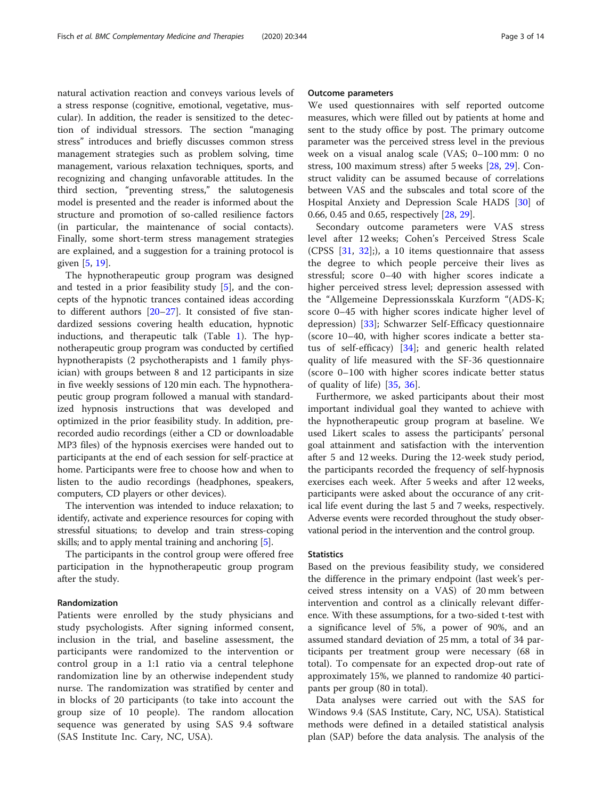natural activation reaction and conveys various levels of a stress response (cognitive, emotional, vegetative, muscular). In addition, the reader is sensitized to the detection of individual stressors. The section "managing stress" introduces and briefly discusses common stress management strategies such as problem solving, time management, various relaxation techniques, sports, and recognizing and changing unfavorable attitudes. In the third section, "preventing stress," the salutogenesis model is presented and the reader is informed about the structure and promotion of so-called resilience factors (in particular, the maintenance of social contacts). Finally, some short-term stress management strategies are explained, and a suggestion for a training protocol is given [\[5](#page-12-0), [19](#page-12-0)].

The hypnotherapeutic group program was designed and tested in a prior feasibility study [\[5](#page-12-0)], and the concepts of the hypnotic trances contained ideas according to different authors [\[20](#page-12-0)–[27\]](#page-12-0). It consisted of five standardized sessions covering health education, hypnotic inductions, and therapeutic talk (Table [1\)](#page-3-0). The hypnotherapeutic group program was conducted by certified hypnotherapists (2 psychotherapists and 1 family physician) with groups between 8 and 12 participants in size in five weekly sessions of 120 min each. The hypnotherapeutic group program followed a manual with standardized hypnosis instructions that was developed and optimized in the prior feasibility study. In addition, prerecorded audio recordings (either a CD or downloadable MP3 files) of the hypnosis exercises were handed out to participants at the end of each session for self-practice at home. Participants were free to choose how and when to listen to the audio recordings (headphones, speakers, computers, CD players or other devices).

The intervention was intended to induce relaxation; to identify, activate and experience resources for coping with stressful situations; to develop and train stress-coping skills; and to apply mental training and anchoring [[5](#page-12-0)].

The participants in the control group were offered free participation in the hypnotherapeutic group program after the study.

## Randomization

Patients were enrolled by the study physicians and study psychologists. After signing informed consent, inclusion in the trial, and baseline assessment, the participants were randomized to the intervention or control group in a 1:1 ratio via a central telephone randomization line by an otherwise independent study nurse. The randomization was stratified by center and in blocks of 20 participants (to take into account the group size of 10 people). The random allocation sequence was generated by using SAS 9.4 software (SAS Institute Inc. Cary, NC, USA).

#### Outcome parameters

We used questionnaires with self reported outcome measures, which were filled out by patients at home and sent to the study office by post. The primary outcome parameter was the perceived stress level in the previous week on a visual analog scale (VAS; 0–100 mm: 0 no stress, 100 maximum stress) after 5 weeks [\[28,](#page-12-0) [29](#page-12-0)]. Construct validity can be assumed because of correlations between VAS and the subscales and total score of the Hospital Anxiety and Depression Scale HADS [[30](#page-12-0)] of 0.66, 0.45 and 0.65, respectively [[28,](#page-12-0) [29\]](#page-12-0).

Secondary outcome parameters were VAS stress level after 12 weeks; Cohen's Perceived Stress Scale (CPSS [\[31](#page-12-0), [32](#page-12-0)];), a 10 items questionnaire that assess the degree to which people perceive their lives as stressful; score 0–40 with higher scores indicate a higher perceived stress level; depression assessed with the "Allgemeine Depressionsskala Kurzform "(ADS-K; score 0–45 with higher scores indicate higher level of depression) [[33\]](#page-12-0); Schwarzer Self-Efficacy questionnaire (score 10–40, with higher scores indicate a better status of self-efficacy) [[34\]](#page-12-0); and generic health related quality of life measured with the SF-36 questionnaire (score 0–100 with higher scores indicate better status of quality of life) [\[35](#page-12-0), [36](#page-12-0)].

Furthermore, we asked participants about their most important individual goal they wanted to achieve with the hypnotherapeutic group program at baseline. We used Likert scales to assess the participants' personal goal attainment and satisfaction with the intervention after 5 and 12 weeks. During the 12-week study period, the participants recorded the frequency of self-hypnosis exercises each week. After 5 weeks and after 12 weeks, participants were asked about the occurance of any critical life event during the last 5 and 7 weeks, respectively. Adverse events were recorded throughout the study observational period in the intervention and the control group.

## **Statistics**

Based on the previous feasibility study, we considered the difference in the primary endpoint (last week's perceived stress intensity on a VAS) of 20 mm between intervention and control as a clinically relevant difference. With these assumptions, for a two-sided t-test with a significance level of 5%, a power of 90%, and an assumed standard deviation of 25 mm, a total of 34 participants per treatment group were necessary (68 in total). To compensate for an expected drop-out rate of approximately 15%, we planned to randomize 40 participants per group (80 in total).

Data analyses were carried out with the SAS for Windows 9.4 (SAS Institute, Cary, NC, USA). Statistical methods were defined in a detailed statistical analysis plan (SAP) before the data analysis. The analysis of the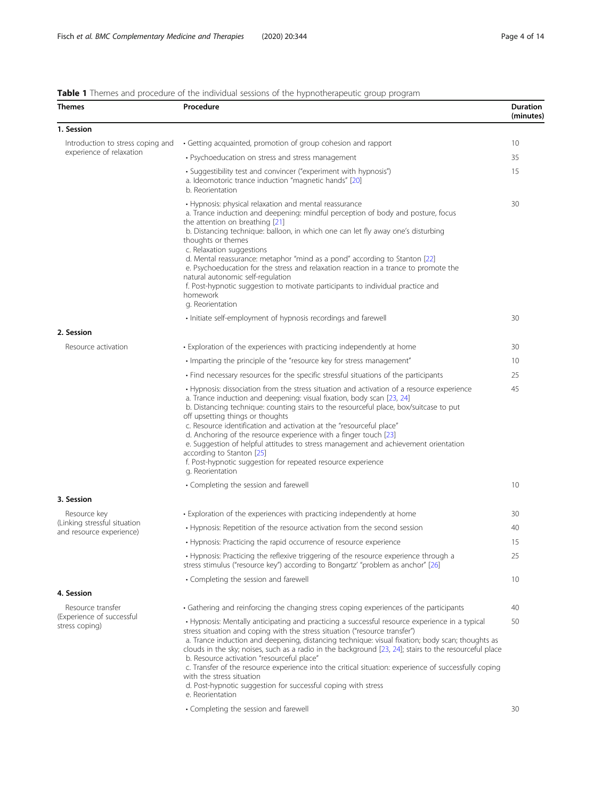## <span id="page-3-0"></span>**Table 1** Themes and procedure of the individual sessions of the hypnotherapeutic group program

| <b>Themes</b>                                                                                                                                                                                                                                             | Procedure                                                                                                                                                                                                                                                                                                                                                                                                                                                                                                                                                                                                                                                            | Duration<br>(minutes) |  |
|-----------------------------------------------------------------------------------------------------------------------------------------------------------------------------------------------------------------------------------------------------------|----------------------------------------------------------------------------------------------------------------------------------------------------------------------------------------------------------------------------------------------------------------------------------------------------------------------------------------------------------------------------------------------------------------------------------------------------------------------------------------------------------------------------------------------------------------------------------------------------------------------------------------------------------------------|-----------------------|--|
| 1. Session                                                                                                                                                                                                                                                |                                                                                                                                                                                                                                                                                                                                                                                                                                                                                                                                                                                                                                                                      |                       |  |
| Introduction to stress coping and                                                                                                                                                                                                                         | · Getting acquainted, promotion of group cohesion and rapport                                                                                                                                                                                                                                                                                                                                                                                                                                                                                                                                                                                                        | 10                    |  |
|                                                                                                                                                                                                                                                           | • Psychoeducation on stress and stress management                                                                                                                                                                                                                                                                                                                                                                                                                                                                                                                                                                                                                    | 35                    |  |
| <b>Table 1</b> Thernes and procedure of the individual sessions of the hypnotherapeutic group program<br>experience of relaxation<br>2. Session<br>Resource activation<br>3. Session<br>Resource key<br>(Linking stressful situation<br>Resource transfer | • Suggestibility test and convincer ("experiment with hypnosis")<br>a. Ideomotoric trance induction "magnetic hands" [20]<br>b. Reorientation                                                                                                                                                                                                                                                                                                                                                                                                                                                                                                                        | 15                    |  |
|                                                                                                                                                                                                                                                           | • Hypnosis: physical relaxation and mental reassurance<br>a. Trance induction and deepening: mindful perception of body and posture, focus<br>the attention on breathing [21]<br>b. Distancing technique: balloon, in which one can let fly away one's disturbing<br>thoughts or themes<br>c. Relaxation suggestions<br>d. Mental reassurance: metaphor "mind as a pond" according to Stanton [22]<br>e. Psychoeducation for the stress and relaxation reaction in a trance to promote the<br>natural autonomic self-regulation<br>f. Post-hypnotic suggestion to motivate participants to individual practice and<br>homework<br>g. Reorientation                   | 30                    |  |
|                                                                                                                                                                                                                                                           | · Initiate self-employment of hypnosis recordings and farewell                                                                                                                                                                                                                                                                                                                                                                                                                                                                                                                                                                                                       | 30                    |  |
|                                                                                                                                                                                                                                                           |                                                                                                                                                                                                                                                                                                                                                                                                                                                                                                                                                                                                                                                                      |                       |  |
|                                                                                                                                                                                                                                                           | • Exploration of the experiences with practicing independently at home                                                                                                                                                                                                                                                                                                                                                                                                                                                                                                                                                                                               | 30                    |  |
|                                                                                                                                                                                                                                                           | . Imparting the principle of the "resource key for stress management"                                                                                                                                                                                                                                                                                                                                                                                                                                                                                                                                                                                                | 10                    |  |
|                                                                                                                                                                                                                                                           | • Find necessary resources for the specific stressful situations of the participants                                                                                                                                                                                                                                                                                                                                                                                                                                                                                                                                                                                 | 25<br>45              |  |
|                                                                                                                                                                                                                                                           | • Hypnosis: dissociation from the stress situation and activation of a resource experience<br>a. Trance induction and deepening: visual fixation, body scan [23, 24]<br>b. Distancing technique: counting stairs to the resourceful place, box/suitcase to put<br>off upsetting things or thoughts<br>c. Resource identification and activation at the "resourceful place"<br>d. Anchoring of the resource experience with a finger touch [23]<br>e. Suggestion of helpful attitudes to stress management and achievement orientation<br>according to Stanton [25]<br>f. Post-hypnotic suggestion for repeated resource experience<br>g. Reorientation               |                       |  |
|                                                                                                                                                                                                                                                           | • Completing the session and farewell                                                                                                                                                                                                                                                                                                                                                                                                                                                                                                                                                                                                                                | 10                    |  |
|                                                                                                                                                                                                                                                           |                                                                                                                                                                                                                                                                                                                                                                                                                                                                                                                                                                                                                                                                      |                       |  |
|                                                                                                                                                                                                                                                           | • Exploration of the experiences with practicing independently at home                                                                                                                                                                                                                                                                                                                                                                                                                                                                                                                                                                                               | 30                    |  |
| and resource experience)                                                                                                                                                                                                                                  | • Hypnosis: Repetition of the resource activation from the second session                                                                                                                                                                                                                                                                                                                                                                                                                                                                                                                                                                                            | 40<br>15              |  |
|                                                                                                                                                                                                                                                           | • Hypnosis: Practicing the rapid occurrence of resource experience<br>• Hypnosis: Practicing the reflexive triggering of the resource experience through a<br>stress stimulus ("resource key") according to Bongartz' "problem as anchor" [26]                                                                                                                                                                                                                                                                                                                                                                                                                       |                       |  |
|                                                                                                                                                                                                                                                           | • Completing the session and farewell                                                                                                                                                                                                                                                                                                                                                                                                                                                                                                                                                                                                                                | 10                    |  |
| 4. Session                                                                                                                                                                                                                                                |                                                                                                                                                                                                                                                                                                                                                                                                                                                                                                                                                                                                                                                                      |                       |  |
|                                                                                                                                                                                                                                                           | • Gathering and reinforcing the changing stress coping experiences of the participants                                                                                                                                                                                                                                                                                                                                                                                                                                                                                                                                                                               | 40                    |  |
| (Experience of successful<br>stress coping)                                                                                                                                                                                                               | • Hypnosis: Mentally anticipating and practicing a successful resource experience in a typical<br>stress situation and coping with the stress situation ("resource transfer")<br>a. Trance induction and deepening, distancing technique: visual fixation; body scan; thoughts as<br>clouds in the sky; noises, such as a radio in the background [23, 24]; stairs to the resourceful place<br>b. Resource activation "resourceful place"<br>c. Transfer of the resource experience into the critical situation: experience of successfully coping<br>with the stress situation<br>d. Post-hypnotic suggestion for successful coping with stress<br>e. Reorientation |                       |  |
|                                                                                                                                                                                                                                                           | • Completing the session and farewell                                                                                                                                                                                                                                                                                                                                                                                                                                                                                                                                                                                                                                | 30                    |  |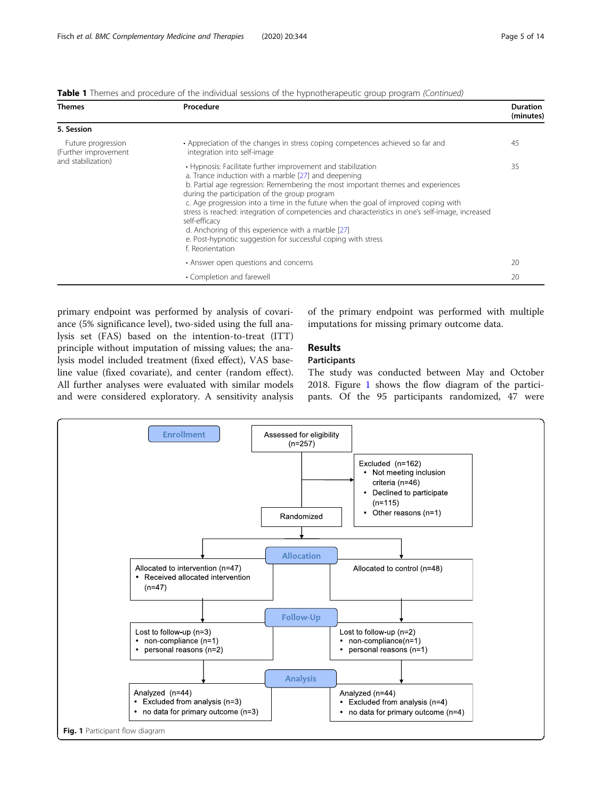| Table 1 Themes and procedure of the individual sessions of the hypnotherapeutic group program (Continued) |  |
|-----------------------------------------------------------------------------------------------------------|--|
|                                                                                                           |  |
|                                                                                                           |  |

| <b>Themes</b>                                                    | Procedure                                                                                                                                                                                                                                                                                                                                                                                                                                                                                                                                                                                                        | <b>Duration</b><br>(minutes) |
|------------------------------------------------------------------|------------------------------------------------------------------------------------------------------------------------------------------------------------------------------------------------------------------------------------------------------------------------------------------------------------------------------------------------------------------------------------------------------------------------------------------------------------------------------------------------------------------------------------------------------------------------------------------------------------------|------------------------------|
| 5. Session                                                       |                                                                                                                                                                                                                                                                                                                                                                                                                                                                                                                                                                                                                  |                              |
| Future progression<br>(Further improvement<br>and stabilization) | • Appreciation of the changes in stress coping competences achieved so far and<br>integration into self-image                                                                                                                                                                                                                                                                                                                                                                                                                                                                                                    | 45                           |
|                                                                  | • Hypnosis: Facilitate further improvement and stabilization<br>a. Trance induction with a marble [27] and deepening<br>b. Partial age regression: Remembering the most important themes and experiences<br>during the participation of the group program<br>c. Age progression into a time in the future when the goal of improved coping with<br>stress is reached: integration of competencies and characteristics in one's self-image, increased<br>self-efficacy<br>d. Anchoring of this experience with a marble [27]<br>e. Post-hypnotic suggestion for successful coping with stress<br>f. Reorientation | 35                           |
|                                                                  | • Answer open questions and concerns                                                                                                                                                                                                                                                                                                                                                                                                                                                                                                                                                                             | 20                           |
|                                                                  | • Completion and farewell                                                                                                                                                                                                                                                                                                                                                                                                                                                                                                                                                                                        | 20                           |

primary endpoint was performed by analysis of covariance (5% significance level), two-sided using the full analysis set (FAS) based on the intention-to-treat (ITT) principle without imputation of missing values; the analysis model included treatment (fixed effect), VAS baseline value (fixed covariate), and center (random effect). All further analyses were evaluated with similar models and were considered exploratory. A sensitivity analysis

of the primary endpoint was performed with multiple imputations for missing primary outcome data.

## Results

## Participants

The study was conducted between May and October 2018. Figure 1 shows the flow diagram of the participants. Of the 95 participants randomized, 47 were

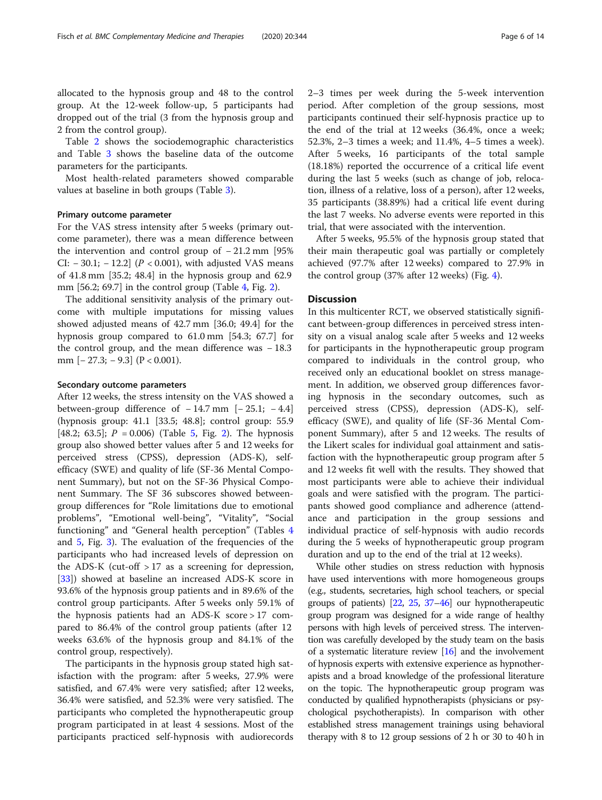allocated to the hypnosis group and 48 to the control group. At the 12-week follow-up, 5 participants had dropped out of the trial (3 from the hypnosis group and 2 from the control group).

Table [2](#page-6-0) shows the sociodemographic characteristics and Table [3](#page-7-0) shows the baseline data of the outcome parameters for the participants.

Most health-related parameters showed comparable values at baseline in both groups (Table [3](#page-7-0)).

#### Primary outcome parameter

For the VAS stress intensity after 5 weeks (primary outcome parameter), there was a mean difference between the intervention and control group of − 21.2 mm [95% CI:  $-30.1$ ;  $-12.2$ ] ( $P < 0.001$ ), with adjusted VAS means of 41.8 mm [35.2; 48.4] in the hypnosis group and 62.9 mm [56.2; 69.7] in the control group (Table [4](#page-8-0), Fig. [2\)](#page-8-0).

The additional sensitivity analysis of the primary outcome with multiple imputations for missing values showed adjusted means of 42.7 mm [36.0; 49.4] for the hypnosis group compared to 61.0 mm [54.3; 67.7] for the control group, and the mean difference was − 18.3 mm  $[-27.3; -9.3]$   $(P < 0.001)$ .

## Secondary outcome parameters

After 12 weeks, the stress intensity on the VAS showed a between-group difference of  $-14.7$  mm  $[-25.1; -4.4]$ (hypnosis group: 41.1 [33.5; 48.8]; control group: 55.9 [48.2; 63.[5](#page-9-0)];  $P = 0.006$ ) (Table 5, Fig. [2](#page-8-0)). The hypnosis group also showed better values after 5 and 12 weeks for perceived stress (CPSS), depression (ADS-K), selfefficacy (SWE) and quality of life (SF-36 Mental Component Summary), but not on the SF-36 Physical Component Summary. The SF 36 subscores showed betweengroup differences for "Role limitations due to emotional problems", "Emotional well-being", "Vitality", "Social functioning" and "General health perception" (Tables [4](#page-8-0) and [5,](#page-9-0) Fig. [3](#page-9-0)). The evaluation of the frequencies of the participants who had increased levels of depression on the ADS-K (cut-off  $>17$  as a screening for depression, [[33\]](#page-12-0)) showed at baseline an increased ADS-K score in 93.6% of the hypnosis group patients and in 89.6% of the control group participants. After 5 weeks only 59.1% of the hypnosis patients had an ADS-K score > 17 compared to 86.4% of the control group patients (after 12 weeks 63.6% of the hypnosis group and 84.1% of the control group, respectively).

The participants in the hypnosis group stated high satisfaction with the program: after 5 weeks, 27.9% were satisfied, and 67.4% were very satisfied; after 12 weeks, 36.4% were satisfied, and 52.3% were very satisfied. The participants who completed the hypnotherapeutic group program participated in at least 4 sessions. Most of the participants practiced self-hypnosis with audiorecords 2–3 times per week during the 5-week intervention period. After completion of the group sessions, most participants continued their self-hypnosis practice up to the end of the trial at 12 weeks (36.4%, once a week; 52.3%, 2–3 times a week; and 11.4%, 4–5 times a week). After 5 weeks, 16 participants of the total sample (18.18%) reported the occurrence of a critical life event during the last 5 weeks (such as change of job, relocation, illness of a relative, loss of a person), after 12 weeks, 35 participants (38.89%) had a critical life event during the last 7 weeks. No adverse events were reported in this trial, that were associated with the intervention.

After 5 weeks, 95.5% of the hypnosis group stated that their main therapeutic goal was partially or completely achieved (97.7% after 12 weeks) compared to 27.9% in the control group (37% after 12 weeks) (Fig. [4\)](#page-10-0).

## **Discussion**

In this multicenter RCT, we observed statistically significant between-group differences in perceived stress intensity on a visual analog scale after 5 weeks and 12 weeks for participants in the hypnotherapeutic group program compared to individuals in the control group, who received only an educational booklet on stress management. In addition, we observed group differences favoring hypnosis in the secondary outcomes, such as perceived stress (CPSS), depression (ADS-K), selfefficacy (SWE), and quality of life (SF-36 Mental Component Summary), after 5 and 12 weeks. The results of the Likert scales for individual goal attainment and satisfaction with the hypnotherapeutic group program after 5 and 12 weeks fit well with the results. They showed that most participants were able to achieve their individual goals and were satisfied with the program. The participants showed good compliance and adherence (attendance and participation in the group sessions and individual practice of self-hypnosis with audio records during the 5 weeks of hypnotherapeutic group program duration and up to the end of the trial at 12 weeks).

While other studies on stress reduction with hypnosis have used interventions with more homogeneous groups (e.g., students, secretaries, high school teachers, or special groups of patients) [[22](#page-12-0), [25,](#page-12-0) [37](#page-12-0)–[46\]](#page-12-0) our hypnotherapeutic group program was designed for a wide range of healthy persons with high levels of perceived stress. The intervention was carefully developed by the study team on the basis of a systematic literature review [[16](#page-12-0)] and the involvement of hypnosis experts with extensive experience as hypnotherapists and a broad knowledge of the professional literature on the topic. The hypnotherapeutic group program was conducted by qualified hypnotherapists (physicians or psychological psychotherapists). In comparison with other established stress management trainings using behavioral therapy with 8 to 12 group sessions of 2 h or 30 to 40 h in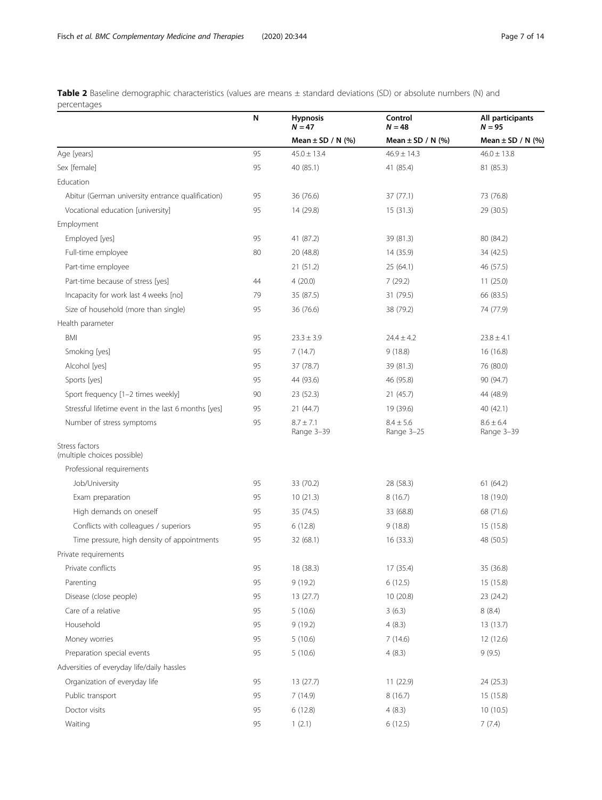<span id="page-6-0"></span>Table 2 Baseline demographic characteristics (values are means ± standard deviations (SD) or absolute numbers (N) and percentages

| <u>erceritages</u>                                  | N  | <b>Hypnosis</b><br>$N = 47$ | Control<br>$N = 48$         | All participants<br>$N = 95$ |
|-----------------------------------------------------|----|-----------------------------|-----------------------------|------------------------------|
|                                                     |    | Mean $\pm$ SD / N (%)       | Mean $\pm$ SD / N (%)       | Mean $\pm$ SD / N (%)        |
| Age [years]                                         | 95 | $45.0 \pm 13.4$             | $46.9 \pm 14.3$             | $46.0 \pm 13.8$              |
| Sex [female]                                        | 95 | 40 (85.1)                   | 41 (85.4)                   | 81 (85.3)                    |
| Education                                           |    |                             |                             |                              |
| Abitur (German university entrance qualification)   | 95 | 36 (76.6)                   | 37(77.1)                    | 73 (76.8)                    |
| Vocational education [university]                   | 95 | 14 (29.8)                   | 15(31.3)                    | 29 (30.5)                    |
| Employment                                          |    |                             |                             |                              |
| Employed [yes]                                      | 95 | 41 (87.2)                   | 39 (81.3)                   | 80 (84.2)                    |
| Full-time employee                                  | 80 | 20 (48.8)                   | 14 (35.9)                   | 34 (42.5)                    |
| Part-time employee                                  |    | 21(51.2)                    | 25(64.1)                    | 46 (57.5)                    |
| Part-time because of stress [yes]                   | 44 | 4(20.0)                     | 7(29.2)                     | 11(25.0)                     |
| Incapacity for work last 4 weeks [no]               | 79 | 35 (87.5)                   | 31 (79.5)                   | 66 (83.5)                    |
| Size of household (more than single)                | 95 | 36 (76.6)                   | 38 (79.2)                   | 74 (77.9)                    |
| Health parameter                                    |    |                             |                             |                              |
| BMI                                                 | 95 | $23.3 \pm 3.9$              | $24.4 \pm 4.2$              | $23.8 \pm 4.1$               |
| Smoking [yes]                                       | 95 | 7(14.7)                     | 9(18.8)                     | 16 (16.8)                    |
| Alcohol [yes]                                       | 95 | 37 (78.7)                   | 39 (81.3)                   | 76 (80.0)                    |
| Sports [yes]                                        | 95 | 44 (93.6)                   | 46 (95.8)                   | 90 (94.7)                    |
| Sport frequency [1-2 times weekly]                  | 90 | 23 (52.3)                   | 21(45.7)                    | 44 (48.9)                    |
| Stressful lifetime event in the last 6 months [yes] | 95 | 21 (44.7)                   | 19 (39.6)                   | 40 (42.1)                    |
| Number of stress symptoms                           | 95 | $8.7 \pm 7.1$<br>Range 3-39 | $8.4 \pm 5.6$<br>Range 3-25 | $8.6 \pm 6.4$<br>Range 3-39  |
| Stress factors<br>(multiple choices possible)       |    |                             |                             |                              |
| Professional requirements                           |    |                             |                             |                              |
| Job/University                                      | 95 | 33 (70.2)                   | 28 (58.3)                   | 61(64.2)                     |
| Exam preparation                                    | 95 | 10(21.3)                    | 8(16.7)                     | 18 (19.0)                    |
| High demands on oneself                             | 95 | 35 (74.5)                   | 33 (68.8)                   | 68 (71.6)                    |
| Conflicts with colleagues / superiors               | 95 | 6(12.8)                     | 9(18.8)                     | 15 (15.8)                    |
| Time pressure, high density of appointments         | 95 | 32 (68.1)                   | 16 (33.3)                   | 48 (50.5)                    |
| Private requirements                                |    |                             |                             |                              |
| Private conflicts                                   | 95 | 18 (38.3)                   | 17 (35.4)                   | 35 (36.8)                    |
| Parenting                                           | 95 | 9(19.2)                     | 6(12.5)                     | 15 (15.8)                    |
| Disease (close people)                              | 95 | 13(27.7)                    | 10(20.8)                    | 23 (24.2)                    |
| Care of a relative                                  | 95 | 5(10.6)                     | 3(6.3)                      | 8(8.4)                       |
| Household                                           | 95 | 9(19.2)                     | 4(8.3)                      | 13(13.7)                     |
| Money worries                                       | 95 | 5(10.6)                     | 7(14.6)                     | 12(12.6)                     |
| Preparation special events                          | 95 | 5(10.6)                     | 4(8.3)                      | 9(9.5)                       |
| Adversities of everyday life/daily hassles          |    |                             |                             |                              |
| Organization of everyday life                       | 95 | 13(27.7)                    | 11 (22.9)                   | 24 (25.3)                    |
| Public transport                                    | 95 | 7(14.9)                     | 8(16.7)                     | 15(15.8)                     |
| Doctor visits                                       | 95 | 6(12.8)                     | 4(8.3)                      | 10(10.5)                     |
| Waiting                                             | 95 | 1(2.1)                      | 6(12.5)                     | 7(7.4)                       |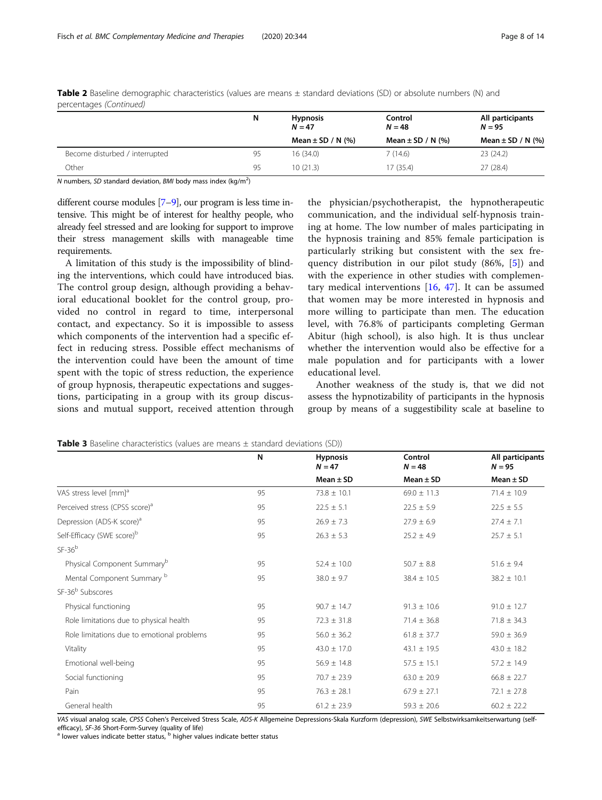|                                | N  | <b>Hypnosis</b><br>$N = 47$ | Control<br>$N = 48$   | All participants<br>$N = 95$ |  |
|--------------------------------|----|-----------------------------|-----------------------|------------------------------|--|
|                                |    | Mean $\pm$ SD / N (%)       | Mean $\pm$ SD / N (%) | Mean $\pm$ SD / N (%)        |  |
| Become disturbed / interrupted | 95 | 16 (34.0)                   | 7(14.6)               | 23(24.2)                     |  |
| Other                          | 95 | 10(21.3)                    | 17 (35.4)             | 27(28.4)                     |  |

<span id="page-7-0"></span>Table 2 Baseline demographic characteristics (values are means ± standard deviations (SD) or absolute numbers (N) and percentages (Continued)

N numbers, SD standard deviation, BMI body mass index (kg/m<sup>2</sup>)

different course modules [\[7](#page-12-0)–[9](#page-12-0)], our program is less time intensive. This might be of interest for healthy people, who already feel stressed and are looking for support to improve their stress management skills with manageable time requirements.

A limitation of this study is the impossibility of blinding the interventions, which could have introduced bias. The control group design, although providing a behavioral educational booklet for the control group, provided no control in regard to time, interpersonal contact, and expectancy. So it is impossible to assess which components of the intervention had a specific effect in reducing stress. Possible effect mechanisms of the intervention could have been the amount of time spent with the topic of stress reduction, the experience of group hypnosis, therapeutic expectations and suggestions, participating in a group with its group discussions and mutual support, received attention through

the physician/psychotherapist, the hypnotherapeutic communication, and the individual self-hypnosis training at home. The low number of males participating in the hypnosis training and 85% female participation is particularly striking but consistent with the sex frequency distribution in our pilot study (86%, [[5\]](#page-12-0)) and with the experience in other studies with complementary medical interventions [[16,](#page-12-0) [47\]](#page-12-0). It can be assumed that women may be more interested in hypnosis and more willing to participate than men. The education level, with 76.8% of participants completing German Abitur (high school), is also high. It is thus unclear whether the intervention would also be effective for a male population and for participants with a lower educational level.

Another weakness of the study is, that we did not assess the hypnotizability of participants in the hypnosis group by means of a suggestibility scale at baseline to

|                                            | N  | <b>Hypnosis</b><br>$N = 47$ | Control<br>$N = 48$ | All participants<br>$N = 95$ |
|--------------------------------------------|----|-----------------------------|---------------------|------------------------------|
|                                            |    | Mean $\pm$ SD               | Mean $\pm$ SD       | Mean $\pm$ SD                |
| VAS stress level [mm] <sup>a</sup>         | 95 | $73.8 \pm 10.1$             | $69.0 \pm 11.3$     | $71.4 \pm 10.9$              |
| Perceived stress (CPSS score) <sup>a</sup> | 95 | $22.5 \pm 5.1$              | $22.5 \pm 5.9$      | $22.5 \pm 5.5$               |
| Depression (ADS-K score) <sup>a</sup>      | 95 | $26.9 \pm 7.3$              | $27.9 \pm 6.9$      | $27.4 \pm 7.1$               |
| Self-Efficacy (SWE score) <sup>b</sup>     | 95 | $26.3 \pm 5.3$              | $25.2 \pm 4.9$      | $25.7 \pm 5.1$               |
| $SF-36b$                                   |    |                             |                     |                              |
| Physical Component Summary <sup>b</sup>    | 95 | $52.4 \pm 10.0$             | $50.7 \pm 8.8$      | $51.6 \pm 9.4$               |
| Mental Component Summary b                 | 95 | $38.0 \pm 9.7$              | $38.4 \pm 10.5$     | $38.2 \pm 10.1$              |
| SF-36 <sup>b</sup> Subscores               |    |                             |                     |                              |
| Physical functioning                       | 95 | $90.7 \pm 14.7$             | $91.3 \pm 10.6$     | $91.0 \pm 12.7$              |
| Role limitations due to physical health    | 95 | $72.3 \pm 31.8$             | $71.4 \pm 36.8$     | $71.8 \pm 34.3$              |
| Role limitations due to emotional problems | 95 | $56.0 \pm 36.2$             | $61.8 \pm 37.7$     | $59.0 \pm 36.9$              |
| Vitality                                   | 95 | $43.0 \pm 17.0$             | $43.1 \pm 19.5$     | $43.0 \pm 18.2$              |
| Emotional well-being                       | 95 | $56.9 \pm 14.8$             | $57.5 \pm 15.1$     | $57.2 \pm 14.9$              |
| Social functioning                         | 95 | $70.7 \pm 23.9$             | $63.0 \pm 20.9$     | $66.8 \pm 22.7$              |
| Pain                                       | 95 | $76.3 \pm 28.1$             | $67.9 \pm 27.1$     | $72.1 \pm 27.8$              |
| General health                             | 95 | $61.2 \pm 23.9$             | $59.3 \pm 20.6$     | $60.2 \pm 22.2$              |

VAS visual analog scale, CPSS Cohen's Perceived Stress Scale, ADS-K Allgemeine Depressions-Skala Kurzform (depression), SWE Selbstwirksamkeitserwartung (selfefficacy), SF-36 Short-Form-Survey (quality of life)<br><sup>a</sup> lower values indicate better status, <sup>b</sup> higher values indicate better status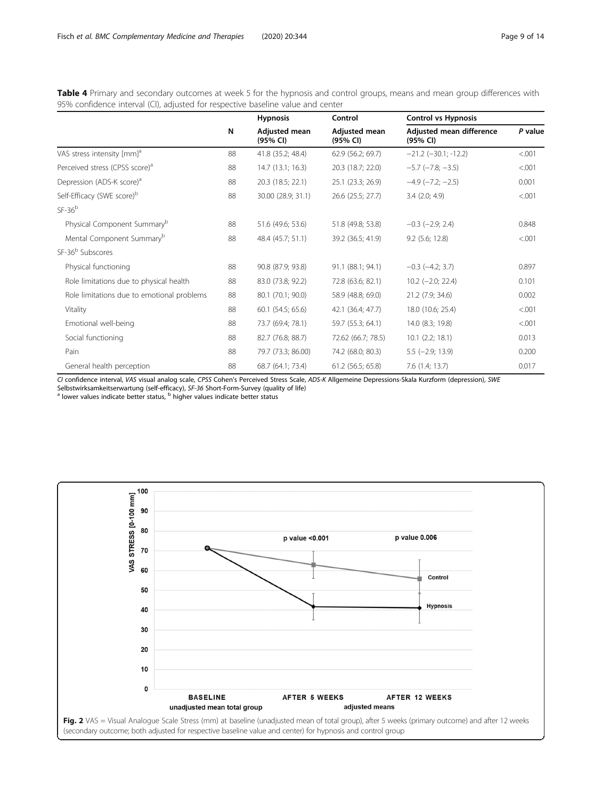<span id="page-8-0"></span>Table 4 Primary and secondary outcomes at week 5 for the hypnosis and control groups, means and mean group differences with 95% confidence interval (CI), adjusted for respective baseline value and center

|                                            |    | <b>Hypnosis</b>           | Control                   | <b>Control vs Hypnosis</b>           |         |
|--------------------------------------------|----|---------------------------|---------------------------|--------------------------------------|---------|
|                                            | N  | Adjusted mean<br>(95% CI) | Adjusted mean<br>(95% CI) | Adjusted mean difference<br>(95% CI) | P value |
| VAS stress intensity [mm] <sup>a</sup>     | 88 | 41.8 (35.2; 48.4)         | 62.9 (56.2; 69.7)         | $-21.2$ ( $-30.1$ ; $-12.2$ )        | < .001  |
| Perceived stress (CPSS score) <sup>a</sup> | 88 | 14.7 (13.1; 16.3)         | 20.3 (18.7; 22.0)         | $-5.7$ $(-7.8; -3.5)$                | < .001  |
| Depression (ADS-K score) <sup>a</sup>      | 88 | 20.3 (18.5; 22.1)         | 25.1 (23.3; 26.9)         | $-4.9$ $(-7.2; -2.5)$                | 0.001   |
| Self-Efficacy (SWE score) <sup>b</sup>     | 88 | 30.00 (28.9; 31.1)        | 26.6 (25.5; 27.7)         | $3.4$ (2.0; 4.9)                     | < 0.001 |
| $SF-36b$                                   |    |                           |                           |                                      |         |
| Physical Component Summary <sup>b</sup>    | 88 | 51.6 (49.6; 53.6)         | 51.8 (49.8; 53.8)         | $-0.3$ $(-2.9; 2.4)$                 | 0.848   |
| Mental Component Summary <sup>b</sup>      | 88 | 48.4 (45.7; 51.1)         | 39.2 (36.5; 41.9)         | $9.2$ (5.6; 12.8)                    | < .001  |
| SF-36 <sup>b</sup> Subscores               |    |                           |                           |                                      |         |
| Physical functioning                       | 88 | 90.8 (87.9; 93.8)         | 91.1 (88.1; 94.1)         | $-0.3$ $(-4.2; 3.7)$                 | 0.897   |
| Role limitations due to physical health    | 88 | 83.0 (73.8; 92.2)         | 72.8 (63.6; 82.1)         | $10.2$ (-2.0; 22.4)                  | 0.101   |
| Role limitations due to emotional problems | 88 | 80.1 (70.1; 90.0)         | 58.9 (48.8; 69.0)         | 21.2 (7.9; 34.6)                     | 0.002   |
| Vitality                                   | 88 | 60.1 (54.5; 65.6)         | 42.1 (36.4; 47.7)         | 18.0 (10.6; 25.4)                    | < 0.001 |
| Emotional well-being                       | 88 | 73.7 (69.4; 78.1)         | 59.7 (55.3; 64.1)         | 14.0 (8.3; 19.8)                     | < 0.001 |
| Social functioning                         | 88 | 82.7 (76.8; 88.7)         | 72.62 (66.7; 78.5)        | $10.1$ $(2.2; 18.1)$                 | 0.013   |
| Pain                                       | 88 | 79.7 (73.3; 86.00)        | 74.2 (68.0; 80.3)         | $5.5$ (-2.9; 13.9)                   | 0.200   |
| General health perception                  | 88 | 68.7 (64.1; 73.4)         | 61.2 (56.5; 65.8)         | 7.6(1.4; 13.7)                       | 0.017   |

CI confidence interval, VAS visual analog scale, CPSS Cohen's Perceived Stress Scale, ADS-K Allgemeine Depressions-Skala Kurzform (depression), SWE

Selbstwirksamkeitserwartung (self-efficacy), SF-36 Short-Form-Survey (quality of life) a lower values indicate better status,  $^{\rm b}$  higher values indicate better status



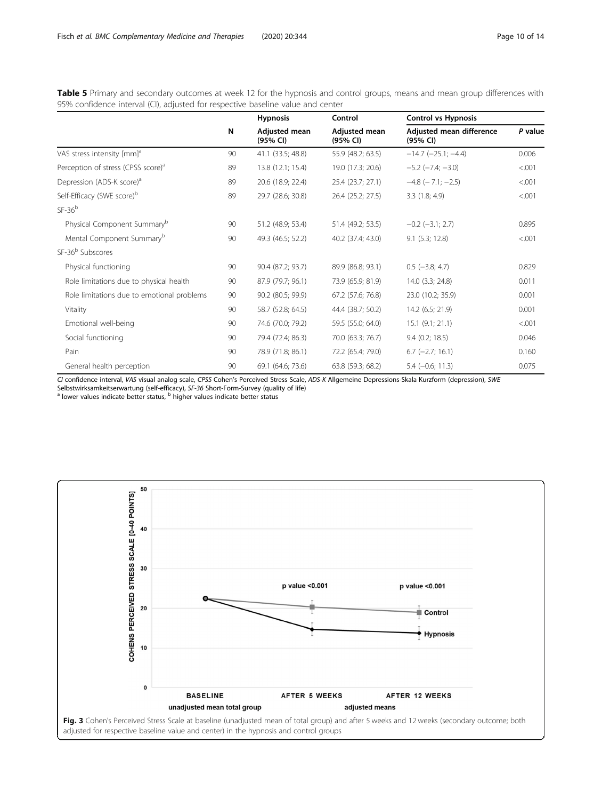<span id="page-9-0"></span>Table 5 Primary and secondary outcomes at week 12 for the hypnosis and control groups, means and mean group differences with 95% confidence interval (CI), adjusted for respective baseline value and center

|                                                |    | <b>Hypnosis</b>           | Control                   | <b>Control vs Hypnosis</b>           |         |
|------------------------------------------------|----|---------------------------|---------------------------|--------------------------------------|---------|
|                                                | N  | Adjusted mean<br>(95% CI) | Adjusted mean<br>(95% CI) | Adjusted mean difference<br>(95% CI) | P value |
| VAS stress intensity [mm] <sup>a</sup>         | 90 | 41.1 (33.5; 48.8)         | 55.9 (48.2; 63.5)         | $-14.7$ $(-25.1; -4.4)$              | 0.006   |
| Perception of stress (CPSS score) <sup>a</sup> | 89 | 13.8 (12.1; 15.4)         | 19.0 (17.3; 20.6)         | $-5.2$ ( $-7.4$ ; $-3.0$ )           | < 0.001 |
| Depression (ADS-K score) <sup>a</sup>          | 89 | 20.6 (18.9; 22.4)         | 25.4 (23.7; 27.1)         | $-4.8$ ( $-7.1$ ; $-2.5$ )           | < 0.001 |
| Self-Efficacy (SWE score) <sup>b</sup>         | 89 | 29.7 (28.6; 30.8)         | 26.4 (25.2; 27.5)         | 3.3(1.8; 4.9)                        | < 0.001 |
| $SF-36b$                                       |    |                           |                           |                                      |         |
| Physical Component Summary <sup>b</sup>        | 90 | 51.2 (48.9; 53.4)         | 51.4 (49.2; 53.5)         | $-0.2$ $(-3.1; 2.7)$                 | 0.895   |
| Mental Component Summary <sup>b</sup>          | 90 | 49.3 (46.5; 52.2)         | 40.2 (37.4; 43.0)         | 9.1(5.3; 12.8)                       | < .001  |
| SF-36 <sup>b</sup> Subscores                   |    |                           |                           |                                      |         |
| Physical functioning                           | 90 | 90.4 (87.2; 93.7)         | 89.9 (86.8; 93.1)         | $0.5$ ( $-3.8; 4.7$ )                | 0.829   |
| Role limitations due to physical health        | 90 | 87.9 (79.7; 96.1)         | 73.9 (65.9; 81.9)         | 14.0 (3.3; 24.8)                     | 0.011   |
| Role limitations due to emotional problems     | 90 | 90.2 (80.5; 99.9)         | 67.2 (57.6; 76.8)         | 23.0 (10.2; 35.9)                    | 0.001   |
| Vitality                                       | 90 | 58.7 (52.8; 64.5)         | 44.4 (38.7; 50.2)         | 14.2 (6.5; 21.9)                     | 0.001   |
| Emotional well-being                           | 90 | 74.6 (70.0; 79.2)         | 59.5 (55.0; 64.0)         | 15.1 (9.1; 21.1)                     | < 0.001 |
| Social functioning                             | 90 | 79.4 (72.4; 86.3)         | 70.0 (63.3; 76.7)         | $9.4$ (0.2; 18.5)                    | 0.046   |
| Pain                                           | 90 | 78.9 (71.8; 86.1)         | 72.2 (65.4; 79.0)         | $6.7$ (-2.7; 16.1)                   | 0.160   |
| General health perception                      | 90 | 69.1 (64.6; 73.6)         | 63.8 (59.3; 68.2)         | $5.4 (-0.6; 11.3)$                   | 0.075   |

CI confidence interval, VAS visual analog scale, CPSS Cohen's Perceived Stress Scale, ADS-K Allgemeine Depressions-Skala Kurzform (depression), SWE

Selbstwirksamkeitserwartung (self-efficacy), SF-36 Short-Form-Survey (quality of life) a lower values indicate better status,  $^{\rm b}$  higher values indicate better status

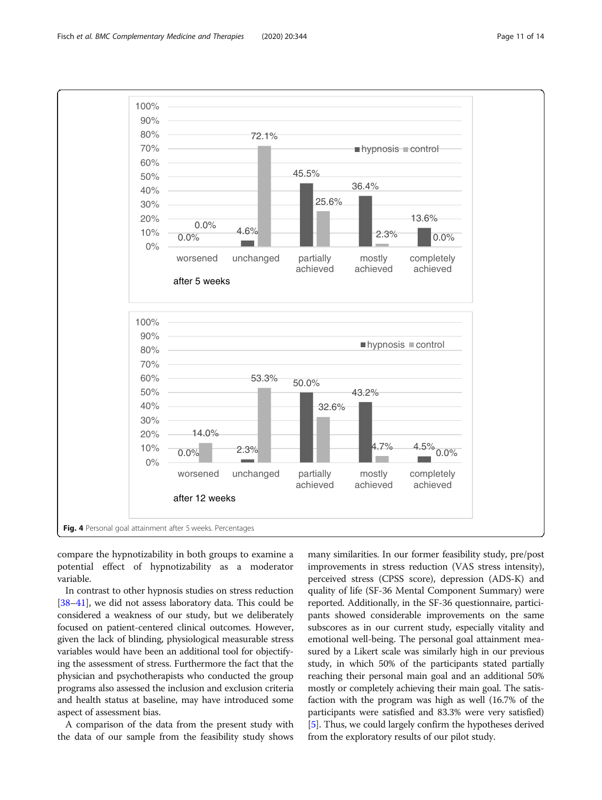<span id="page-10-0"></span>

compare the hypnotizability in both groups to examine a potential effect of hypnotizability as a moderator variable.

In contrast to other hypnosis studies on stress reduction [[38](#page-12-0)–[41\]](#page-12-0), we did not assess laboratory data. This could be considered a weakness of our study, but we deliberately focused on patient-centered clinical outcomes. However, given the lack of blinding, physiological measurable stress variables would have been an additional tool for objectifying the assessment of stress. Furthermore the fact that the physician and psychotherapists who conducted the group programs also assessed the inclusion and exclusion criteria and health status at baseline, may have introduced some aspect of assessment bias.

A comparison of the data from the present study with the data of our sample from the feasibility study shows

many similarities. In our former feasibility study, pre/post improvements in stress reduction (VAS stress intensity), perceived stress (CPSS score), depression (ADS-K) and quality of life (SF-36 Mental Component Summary) were reported. Additionally, in the SF-36 questionnaire, participants showed considerable improvements on the same subscores as in our current study, especially vitality and emotional well-being. The personal goal attainment measured by a Likert scale was similarly high in our previous study, in which 50% of the participants stated partially reaching their personal main goal and an additional 50% mostly or completely achieving their main goal. The satisfaction with the program was high as well (16.7% of the participants were satisfied and 83.3% were very satisfied) [[5\]](#page-12-0). Thus, we could largely confirm the hypotheses derived from the exploratory results of our pilot study.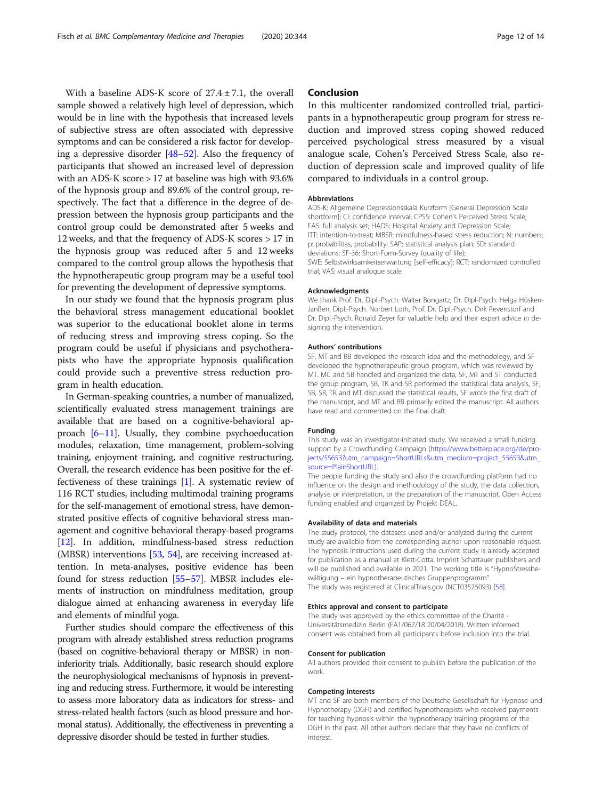With a baseline ADS-K score of  $27.4 \pm 7.1$ , the overall sample showed a relatively high level of depression, which would be in line with the hypothesis that increased levels of subjective stress are often associated with depressive symptoms and can be considered a risk factor for developing a depressive disorder [\[48](#page-12-0)–[52\]](#page-13-0). Also the frequency of participants that showed an increased level of depression with an ADS-K score > 17 at baseline was high with 93.6% of the hypnosis group and 89.6% of the control group, respectively. The fact that a difference in the degree of depression between the hypnosis group participants and the control group could be demonstrated after 5 weeks and 12 weeks, and that the frequency of ADS-K scores > 17 in the hypnosis group was reduced after 5 and 12 weeks compared to the control group allows the hypothesis that the hypnotherapeutic group program may be a useful tool for preventing the development of depressive symptoms.

In our study we found that the hypnosis program plus the behavioral stress management educational booklet was superior to the educational booklet alone in terms of reducing stress and improving stress coping. So the program could be useful if physicians and psychotherapists who have the appropriate hypnosis qualification could provide such a preventive stress reduction program in health education.

In German-speaking countries, a number of manualized, scientifically evaluated stress management trainings are available that are based on a cognitive-behavioral approach [[6](#page-12-0)–[11](#page-12-0)]. Usually, they combine psychoeducation modules, relaxation, time management, problem-solving training, enjoyment training, and cognitive restructuring. Overall, the research evidence has been positive for the effectiveness of these trainings [\[1](#page-12-0)]. A systematic review of 116 RCT studies, including multimodal training programs for the self-management of emotional stress, have demonstrated positive effects of cognitive behavioral stress management and cognitive behavioral therapy-based programs [[12](#page-12-0)]. In addition, mindfulness-based stress reduction (MBSR) interventions [[53](#page-13-0), [54](#page-13-0)], are receiving increased attention. In meta-analyses, positive evidence has been found for stress reduction [\[55](#page-13-0)–[57\]](#page-13-0). MBSR includes elements of instruction on mindfulness meditation, group dialogue aimed at enhancing awareness in everyday life and elements of mindful yoga.

Further studies should compare the effectiveness of this program with already established stress reduction programs (based on cognitive-behavioral therapy or MBSR) in noninferiority trials. Additionally, basic research should explore the neurophysiological mechanisms of hypnosis in preventing and reducing stress. Furthermore, it would be interesting to assess more laboratory data as indicators for stress- and stress-related health factors (such as blood pressure and hormonal status). Additionally, the effectiveness in preventing a depressive disorder should be tested in further studies.

## Conclusion

In this multicenter randomized controlled trial, participants in a hypnotherapeutic group program for stress reduction and improved stress coping showed reduced perceived psychological stress measured by a visual analogue scale, Cohen's Perceived Stress Scale, also reduction of depression scale and improved quality of life compared to individuals in a control group.

#### Abbreviations

ADS-K: Allgemeine Depressionsskala Kurzform [General Depression Scale shortform]; CI: confidence interval; CPSS: Cohen's Perceived Stress Scale; FAS: full analysis set; HADS: Hospital Anxiety and Depression Scale; ITT: intention-to-treat; MBSR: mindfulness-based stress reduction; N: numbers; p: probabilitas, probability; SAP: statistical analysis plan; SD: standard deviations; SF-36: Short-Form-Survey (quality of life); SWE: Selbstwirksamkeitserwartung [self-efficacy]; RCT: randomized controlled trial; VAS: visual analogue scale

#### Acknowledgments

We thank Prof. Dr. Dipl.-Psych. Walter Bongartz, Dr. Dipl-Psych. Helga Hüsken-Janßen, Dipl.-Psych. Norbert Loth, Prof. Dr. Dipl.-Psych. Dirk Revenstorf and Dr. Dipl.-Psych. Ronald Zeyer for valuable help and their expert advice in designing the intervention.

## Authors' contributions

SF, MT and BB developed the research idea and the methodology, and SF developed the hypnotherapeutic group program, which was reviewed by MT. MC and SB handled and organized the data, SF, MT and ST conducted the group program, SB, TK and SR performed the statistical data analysis, SF, SB, SR, TK and MT discussed the statistical results, SF wrote the first draft of the manuscript, and MT and BB primarily edited the manuscript. All authors have read and commented on the final draft.

#### Funding

This study was an investigator-initiated study. We received a small funding support by a Crowdfunding Campaign [\(https://www.betterplace.org/de/pro](https://www.betterplace.org/de/projects/55653?utm_campaign=ShortURLs&utm_medium=project_55653&utm_source=PlainShortURL)[jects/55653?utm\\_campaign=ShortURLs&utm\\_medium=project\\_55653&utm\\_](https://www.betterplace.org/de/projects/55653?utm_campaign=ShortURLs&utm_medium=project_55653&utm_source=PlainShortURL) [source=PlainShortURL\)](https://www.betterplace.org/de/projects/55653?utm_campaign=ShortURLs&utm_medium=project_55653&utm_source=PlainShortURL).

The people funding the study and also the crowdfunding platform had no influence on the design and methodology of the study, the data collection, analysis or interpretation, or the preparation of the manuscript. Open Access funding enabled and organized by Projekt DEAL.

## Availability of data and materials

The study protocol, the datasets used and/or analyzed during the current study are available from the corresponding author upon reasonable request. The hypnosis instructions used during the current study is already accepted for publication as a manual at Klett-Cotta, Imprint Schattauer publishers and will be published and available in 2021. The working title is "HypnoStressbewältigung – ein hypnotherapeutisches Gruppenprogramm". The study was registered at ClinicalTrials.gov (NCT03525093) [\[58\]](#page-13-0).

## Ethics approval and consent to participate

The study was approved by the ethics committee of the Charité - Universitätsmedizin Berlin (EA1/067/18 20/04/2018). Written informed consent was obtained from all participants before inclusion into the trial.

#### Consent for publication

All authors provided their consent to publish before the publication of the work.

#### Competing interests

MT and SF are both members of the Deutsche Gesellschaft für Hypnose und Hypnotherapy (DGH) and certified hypnotherapists who received payments for teaching hypnosis within the hypnotherapy training programs of the DGH in the past. All other authors declare that they have no conflicts of interest.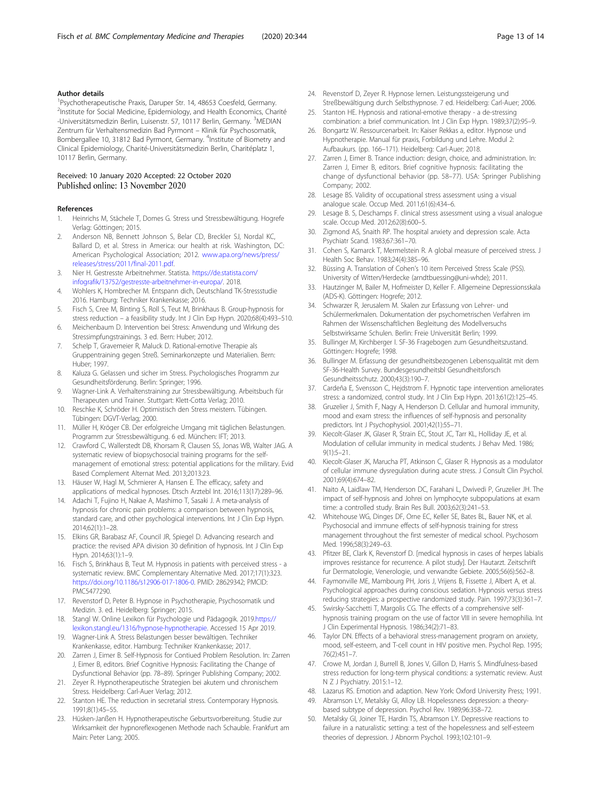## <span id="page-12-0"></span>Author details

<sup>1</sup>Psychotherapeutische Praxis, Daruper Str. 14, 48653 Coesfeld, Germany. <sup>2</sup>Institute for Social Medicine, Epidemiology, and Health Economics, Charité -Universitätsmedizin Berlin, Luisenstr. 57, 10117 Berlin, Germany. <sup>3</sup>MEDIAN Zentrum für Verhaltensmedizin Bad Pyrmont – Klinik für Psychosomatik, Bombergallee 10, 31812 Bad Pyrmont, Germany. <sup>4</sup>Institute of Biometry and Clinical Epidemiology, Charité-Universitätsmedizin Berlin, Charitéplatz 1, 10117 Berlin, Germany.

## Received: 10 January 2020 Accepted: 22 October 2020 Published online: 13 November 2020

#### References

- 1. Heinrichs M, Stächele T, Domes G. Stress und Stressbewältigung. Hogrefe Verlag: Göttingen; 2015.
- 2. Anderson NB, Bennett Johnson S, Belar CD, Breckler SJ, Nordal KC, Ballard D, et al. Stress in America: our health at risk. Washington, DC: American Psychological Association; 2012. [www.apa.org/news/press/](http://www.apa.org/news/press/releases/stress/2011/final-2011.pdf) [releases/stress/2011/final-2011.pdf.](http://www.apa.org/news/press/releases/stress/2011/final-2011.pdf)
- 3. Nier H. Gestresste Arbeitnehmer. Statista. [https://de.statista.com/](https://de.statista.com/infografik/13752/gestresste-arbeitnehmer-in-europa/) [infografik/13752/gestresste-arbeitnehmer-in-europa/.](https://de.statista.com/infografik/13752/gestresste-arbeitnehmer-in-europa/) 2018.
- 4. Wohlers K, Hombrecher M. Entspann dich, Deutschland TK-Stressstudie 2016. Hamburg: Techniker Krankenkasse; 2016.
- 5. Fisch S, Cree M, Binting S, Roll S, Teut M, Brinkhaus B. Group-hypnosis for stress reduction – a feasibility study. Int J Clin Exp Hypn. 2020;68(4):493–510.
- 6. Meichenbaum D. Intervention bei Stress: Anwendung und Wirkung des Stressimpfungstrainings. 3 ed. Bern: Huber; 2012.
- 7. Schelp T, Gravemeier R, Maluck D. Rational-emotive Therapie als Gruppentraining gegen Streß. Seminarkonzepte und Materialien. Bern: Huber; 1997.
- 8. Kaluza G. Gelassen und sicher im Stress. Psychologisches Programm zur Gesundheitsförderung. Berlin: Springer; 1996.
- 9. Wagner-Link A. Verhaltenstraining zur Stressbewältigung. Arbeitsbuch für Therapeuten und Trainer. Stuttgart: Klett-Cotta Verlag; 2010.
- 10. Reschke K, Schröder H. Optimistisch den Stress meistern. Tübingen. Tübingen: DGVT-Verlag; 2000.
- 11. Müller H, Kröger CB. Der erfolgreiche Umgang mit täglichen Belastungen. Programm zur Stressbewältigung. 6 ed. München: IFT; 2013.
- 12. Crawford C, Wallerstedt DB, Khorsam R, Clausen SS, Jonas WB, Walter JAG. A systematic review of biopsychosocial training programs for the selfmanagement of emotional stress: potential applications for the military. Evid Based Complement Alternat Med. 2013;2013:23.
- 13. Häuser W, Hagl M, Schmierer A, Hansen E. The efficacy, safety and applications of medical hypnoses. Dtsch Arztebl Int. 2016;113(17):289–96.
- 14. Adachi T, Fujino H, Nakae A, Mashimo T, Sasaki J. A meta-analysis of hypnosis for chronic pain problems: a comparison between hypnosis, standard care, and other psychological interventions. Int J Clin Exp Hypn. 2014;62(1):1–28.
- 15. Elkins GR, Barabasz AF, Council JR, Spiegel D. Advancing research and practice: the revised APA division 30 definition of hypnosis. Int J Clin Exp Hypn. 2014;63(1):1–9.
- 16. Fisch S, Brinkhaus B, Teut M. Hypnosis in patients with perceived stress a systematic review. BMC Complementary Alternative Med. 2017;17(1):323. <https://doi.org/10.1186/s12906-017-1806-0>. PMID: 28629342; PMCID: PMC5477290.
- 17. Revenstorf D, Peter B. Hypnose in Psychotherapie, Psychosomatik und Medizin. 3. ed. Heidelberg: Springer; 2015.
- 18. Stangl W. Online Lexikon für Psychologie und Pädagogik. 2019.[https://](https://lexikon.stangl.eu/1316/hypnose-hypnotherapie) [lexikon.stangl.eu/1316/hypnose-hypnotherapie.](https://lexikon.stangl.eu/1316/hypnose-hypnotherapie) Accessed 15 Apr 2019.
- 19. Wagner-Link A. Stress Belastungen besser bewältigen. Techniker Krankenkasse, editor. Hamburg: Techniker Krankenkasse; 2017.
- 20. Zarren J, Eimer B. Self-Hypnosis for Contiued Problem Resolution. In: Zarren J, Eimer B, editors. Brief Cognitive Hypnosis: Facilitating the Change of Dysfunctional Behavior (pp. 78–89). Springer Publishing Company; 2002.
- 21. Zeyer R. Hypnotherapeutische Strategien bei akutem und chronischem Stress. Heidelberg: Carl-Auer Verlag; 2012.
- 22. Stanton HE. The reduction in secretarial stress. Contemporary Hypnosis. 1991;8(1):45–55.
- 23. Hüsken-Janßen H. Hypnotherapeutische Geburtsvorbereitung. Studie zur Wirksamkeit der hypnoreflexogenen Methode nach Schauble. Frankfurt am Main: Peter Lang; 2005.
- 24. Revenstorf D, Zeyer R. Hypnose lernen. Leistungssteigerung und Streßbewältigung durch Selbsthypnose. 7 ed. Heidelberg: Carl-Auer; 2006.
- 25. Stanton HE. Hypnosis and rational-emotive therapy a de-stressing combination: a brief communication. Int J Clin Exp Hypn. 1989;37(2):95–9.
- 26. Bongartz W. Ressourcenarbeit. In: Kaiser Rekkas a, editor. Hypnose und Hypnotherapie. Manual für praxis, Forbildung und Lehre. Modul 2: Aufbaukurs. (pp. 166–171). Heidelberg: Carl-Auer; 2018.
- 27. Zarren J, Eimer B. Trance induction: design, choice, and administration. In: Zarren J, Eimer B, editors. Brief cognitive hypnosis: facilitating the change of dysfunctional behavior (pp. 58–77). USA: Springer Publishing Company; 2002.
- 28. Lesage BS. Validity of occupational stress assessment using a visual analogue scale. Occup Med. 2011;61(6):434–6.
- 29. Lesage B. S, Deschamps F. clinical stress assessment using a visual analogue scale. Occup Med. 2012;62(8):600–5.
- 30. Zigmond AS, Snaith RP. The hospital anxiety and depression scale. Acta Psychiatr Scand. 1983;67:361–70.
- 31. Cohen S, Kamarck T, Mermelstein R. A global measure of perceived stress. J Health Soc Behav. 1983;24(4):385–96.
- 32. Büssing A. Translation of Cohen's 10 item Perceived Stress Scale (PSS). University of Witten/Herdecke (arndtbuessing@uni-whde); 2011.
- 33. Hautzinger M, Bailer M, Hofmeister D, Keller F. Allgemeine Depressionsskala (ADS-K). Göttingen: Hogrefe; 2012.
- 34. Schwarzer R, Jerusalem M. Skalen zur Erfassung von Lehrer- und Schülermerkmalen. Dokumentation der psychometrischen Verfahren im Rahmen der Wissenschaftlichen Begleitung des Modellversuchs Selbstwirksame Schulen. Berlin: Freie Universität Berlin; 1999.
- 35. Bullinger M, Kirchberger I. SF-36 Fragebogen zum Gesundheitszustand. Göttingen: Hogrefe; 1998.
- 36. Bullinger M. Erfassung der gesundheitsbezogenen Lebensqualität mit dem SF-36-Health Survey. Bundesgesundheitsbl Gesundheitsforsch Gesundheitsschutz. 2000;43(3):190–7.
- 37. Cardeña E, Svensson C, Hejdstrom F. Hypnotic tape intervention ameliorates stress: a randomized, control study. Int J Clin Exp Hypn. 2013;61(2):125–45.
- 38. Gruzelier J, Smith F, Nagy A, Henderson D. Cellular and humoral immunity, mood and exam stress: the influences of self-hypnosis and personality predictors. Int J Psychophysiol. 2001;42(1):55–71.
- 39. Kiecolt-Glaser JK, Glaser R, Strain EC, Stout JC, Tarr KL, Holliday JE, et al. Modulation of cellular immunity in medical students. J Behav Med. 1986; 9(1):5–21.
- 40. Kiecolt-Glaser JK, Marucha PT, Atkinson C, Glaser R. Hypnosis as a modulator of cellular immune dysregulation during acute stress. J Consult Clin Psychol. 2001;69(4):674–82.
- 41. Naito A, Laidlaw TM, Henderson DC, Farahani L, Dwivedi P, Gruzelier JH. The impact of self-hypnosis and Johrei on lymphocyte subpopulations at exam time: a controlled study. Brain Res Bull. 2003;62(3):241–53.
- 42. Whitehouse WG, Dinges DF, Orne EC, Keller SE, Bates BL, Bauer NK, et al. Psychosocial and immune effects of self-hypnosis training for stress management throughout the first semester of medical school. Psychosom Med. 1996;58(3):249–63.
- 43. Pfitzer BE, Clark K, Revenstorf D. [medical hypnosis in cases of herpes labialis improves resistance for recurrence. A pilot study]. Der Hautarzt. Zeitschrift fur Dermatologie, Venerologie, und verwandte Gebiete. 2005;56(6):562–8.
- 44. Faymonville ME, Mambourg PH, Joris J, Vrijens B, Fissette J, Albert A, et al. Psychological approaches during conscious sedation. Hypnosis versus stress reducing strategies: a prospective randomized study. Pain. 1997;73(3):361–7.
- 45. Swirsky-Sacchetti T, Margolis CG. The effects of a comprehensive selfhypnosis training program on the use of factor VIII in severe hemophilia. Int J Clin Experimental Hypnosis. 1986;34(2):71–83.
- 46. Taylor DN. Effects of a behavioral stress-management program on anxiety, mood, self-esteem, and T-cell count in HIV positive men. Psychol Rep. 1995; 76(2):451–7.
- 47. Crowe M, Jordan J, Burrell B, Jones V, Gillon D, Harris S. Mindfulness-based stress reduction for long-term physical conditions: a systematic review. Aust N Z J Psychiatry. 2015:1–12.
- 48. Lazarus RS. Emotion and adaption. New York: Oxford University Press; 1991.
- 49. Abramson LY, Metalsky GI, Alloy LB. Hopelessness depression: a theorybased subtype of depression. Psychol Rev. 1989;96:358–72.
- 50. Metalsky GI, Joiner TE, Hardin TS, Abramson LY. Depressive reactions to failure in a naturalistic setting: a test of the hopelessness and self-esteem theories of depression. J Abnorm Psychol. 1993;102:101–9.